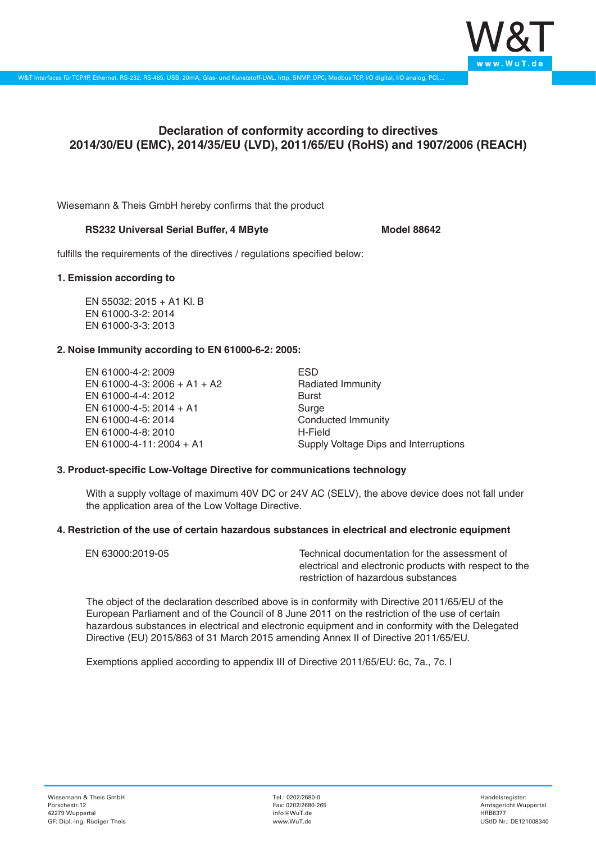

# **Declaration of conformity according to directives 2014/30/EU (EMC), 2014/35/EU (LVD), 2011/65/EU (RoHS) and 1907/2006 (REACH)**

Wiesemann & Theis GmbH hereby confirms that the product

# RS232 Universal Serial Buffer, 4 MByte<br>
Model 88642

fulfills the requirements of the directives / regulations specified below:

### **1. Emission according to**

EN 55032: 2015 + A1 Kl. B EN 61000-3-2: 2014 EN 61000-3-3: 2013

# **2. Noise Immunity according to EN 61000-6-2: 2005:**

EN 61000-4-2: 2009 EN 61000-4-3: 2006 + A1 + A2 EN 61000-4-4: 2012 EN 61000-4-5: 2014 + A1 EN 61000-4-6: 2014 EN 61000-4-8: 2010 EN 61000-4-11: 2004 + A1

ESD Radiated Immunity Burst Surge Conducted Immunity H-Field Supply Voltage Dips and Interruptions

# **3. Product-specific Low-Voltage Directive for communications technology**

With a supply voltage of maximum 40V DC or 24V AC (SELV), the above device does not fall under the application area of the Low Voltage Directive.

### **4. Restriction of the use of certain hazardous substances in electrical and electronic equipment**

| EN 63000:2019-05 | Technical documentation for the assessment of          |
|------------------|--------------------------------------------------------|
|                  | electrical and electronic products with respect to the |
|                  | restriction of hazardous substances                    |

The object of the declaration described above is in conformity with Directive 2011/65/EU of the European Parliament and of the Council of 8 June 2011 on the restriction of the use of certain hazardous substances in electrical and electronic equipment and in conformity with the Delegated Directive (EU) 2015/863 of 31 March 2015 amending Annex II of Directive 2011/65/EU.

Exemptions applied according to appendix III of Directive 2011/65/EU: 6c, 7a., 7c. I